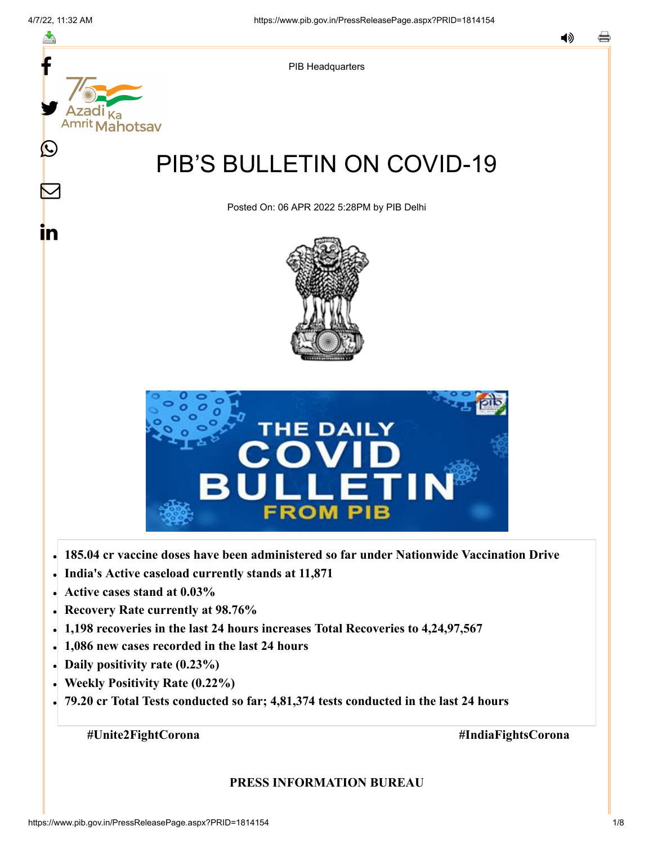≛

y.

**Mahotsav** 

(L

 $\bm{\nabla}$ 

<u>in</u>



# PIB'S BULLETIN ON COVID-19

Posted On: 06 APR 2022 5:28PM by PIB Delhi





- **185.04 cr vaccine doses have been administered so far under Nationwide Vaccination Drive**
- **India's Active caseload currently stands at 11,871**
- **Active cases stand at 0.03%**
- **Recovery Rate currently at 98.76%**
- **1,198 recoveries in the last 24 hours increases Total Recoveries to 4,24,97,567**
- **1,086 new cases recorded in the last 24 hours**
- **Daily positivity rate (0.23%)**
- **Weekly Positivity Rate (0.22%)**
- **79.20 cr Total Tests conducted so far; 4,81,374 tests conducted in the last 24 hours**

**#Unite2FightCorona #IndiaFightsCorona**

#### **PRESS INFORMATION BUREAU**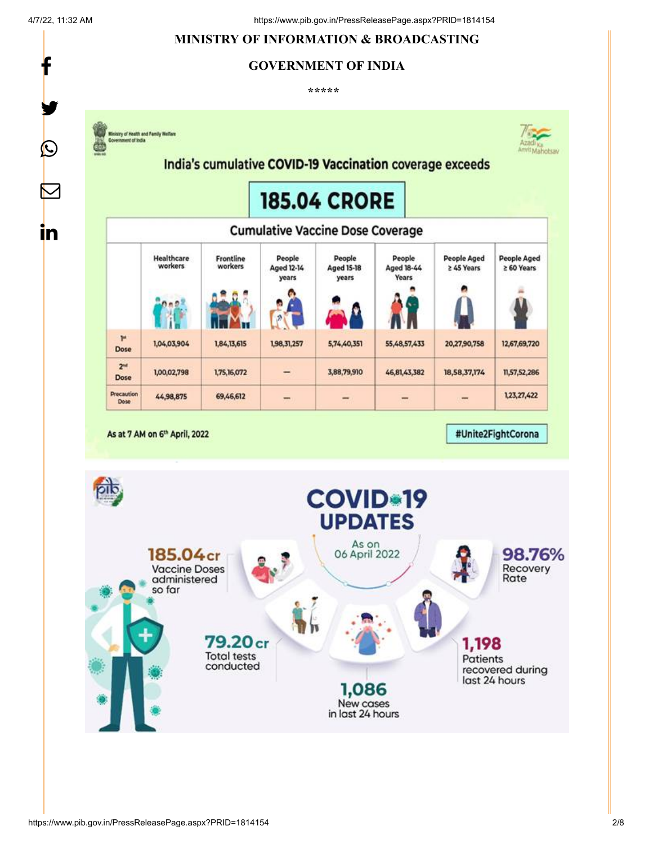y.

 $\bigcirc$ 

 $\bm{\nabla}$ 

<u>in</u>

## **MINISTRY OF INFORMATION & BROADCASTING**

#### **GOVERNMENT OF INDIA**

**\*\*\*\*\*** 

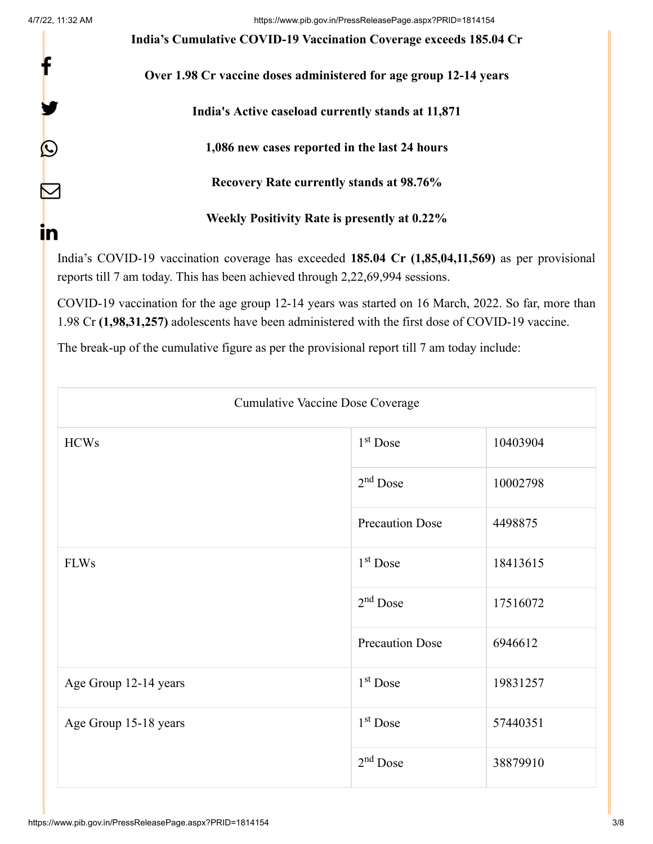y.

 $\bm{\mathcal{Q}}$ 

 $\bm{\nabla}$ 

in

**India's Cumulative COVID-19 Vaccination Coverage exceeds 185.04 Cr**

**Over 1.98 Cr vaccine doses administered for age group 12-14 years**

**India's Active caseload currently stands at 11,871**

**1,086 new cases reported in the last 24 hours**

**Recovery Rate currently stands at 98.76%**

**Weekly Positivity Rate is presently at 0.22%**

India's COVID-19 vaccination coverage has exceeded **185.04 Cr (1,85,04,11,569)** as per provisional reports till 7 am today. This has been achieved through 2,22,69,994 sessions.

COVID-19 vaccination for the age group 12-14 years was started on 16 March, 2022. So far, more than 1.98 Cr **(1,98,31,257)** adolescents have been administered with the first dose of COVID-19 vaccine.

The break-up of the cumulative figure as per the provisional report till 7 am today include:

| <b>Cumulative Vaccine Dose Coverage</b> |                        |          |  |
|-----------------------------------------|------------------------|----------|--|
| <b>HCWs</b>                             | $1st$ Dose             | 10403904 |  |
|                                         | $2nd$ Dose             | 10002798 |  |
|                                         | <b>Precaution Dose</b> | 4498875  |  |
| <b>FLWs</b>                             | $1st$ Dose             | 18413615 |  |
|                                         | $2nd$ Dose             | 17516072 |  |
|                                         | <b>Precaution Dose</b> | 6946612  |  |
| Age Group 12-14 years                   | $1st$ Dose             | 19831257 |  |
| Age Group 15-18 years                   | 1 <sup>st</sup> Dose   | 57440351 |  |
|                                         | $2nd$ Dose             | 38879910 |  |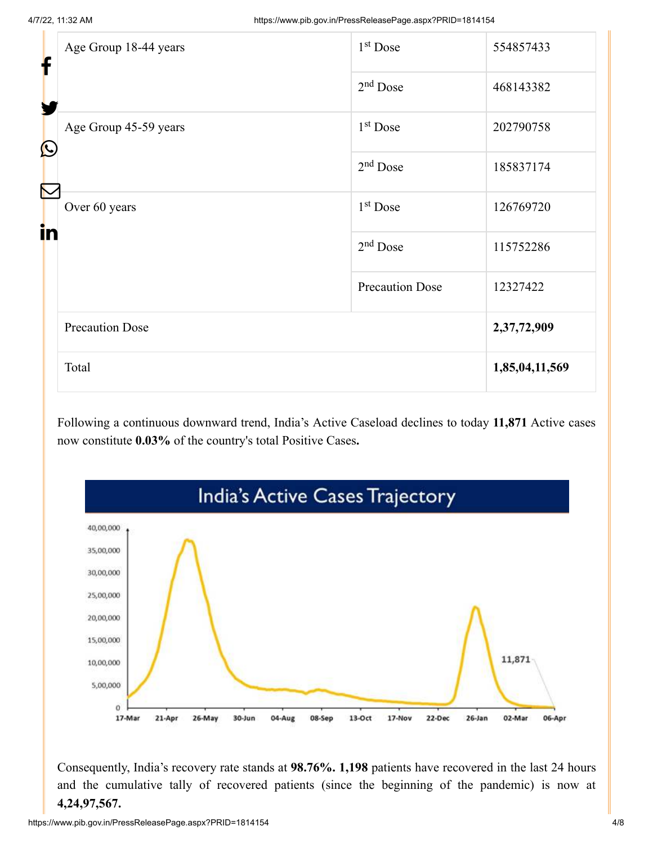| f<br>Ł     | Age Group 18-44 years  | 1 <sup>st</sup> Dose   | 554857433      |
|------------|------------------------|------------------------|----------------|
|            |                        | $2nd$ Dose             | 468143382      |
| $\bigcirc$ | Age Group 45-59 years  | $1st$ Dose             | 202790758      |
|            |                        | $2nd$ Dose             | 185837174      |
|            | Over 60 years          | 1 <sup>st</sup> Dose   | 126769720      |
| in         |                        | $2nd$ Dose             | 115752286      |
|            |                        | <b>Precaution Dose</b> | 12327422       |
|            | <b>Precaution Dose</b> |                        | 2,37,72,909    |
|            | Total                  |                        | 1,85,04,11,569 |

Following a continuous downward trend, India's Active Caseload declines to today **11,871** Active cases now constitute **0.03%** of the country's total Positive Cases**.**



Consequently, India's recovery rate stands at **98.76%. 1,198** patients have recovered in the last 24 hours and the cumulative tally of recovered patients (since the beginning of the pandemic) is now at **4,24,97,567.**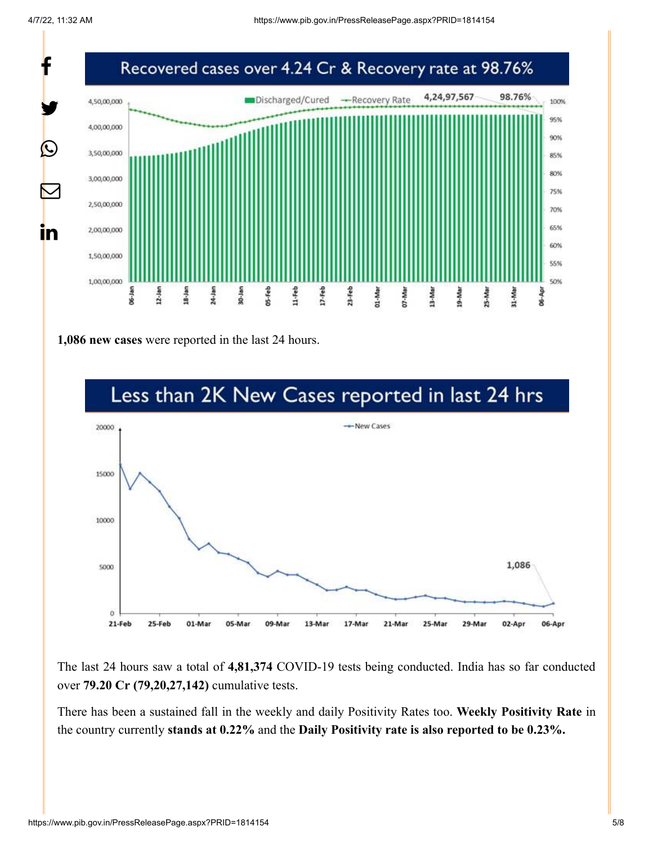

**1,086 new cases** were reported in the last 24 hours.



The last 24 hours saw a total of **4,81,374** COVID-19 tests being conducted. India has so far conducted over **79.20 Cr (79,20,27,142)** cumulative tests.

There has been a sustained fall in the weekly and daily Positivity Rates too. **Weekly Positivity Rate** in the country currently **stands at 0.22%** and the **Daily Positivity rate is also reported to be 0.23%.**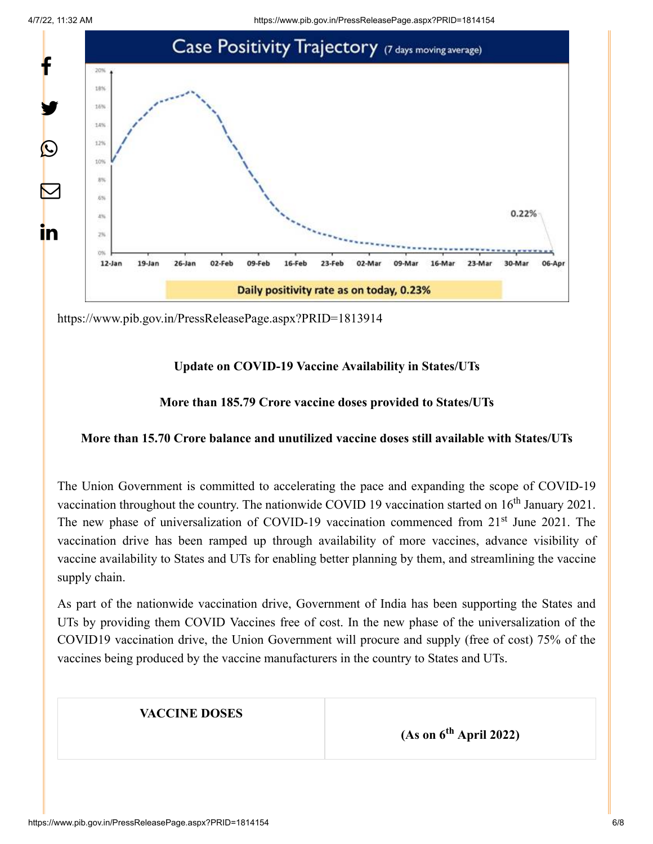4/7/22, 11:32 AM https://www.pib.gov.in/PressReleasePage.aspx?PRID=1814154



<https://www.pib.gov.in/PressReleasePage.aspx?PRID=1813914>

#### **Update on COVID-19 Vaccine Availability in States/UTs**

#### **More than 185.79 Crore vaccine doses provided to States/UTs**

#### **More than 15.70 Crore balance and unutilized vaccine doses still available with States/UTs**

The Union Government is committed to accelerating the pace and expanding the scope of COVID-19 vaccination throughout the country. The nationwide COVID 19 vaccination started on  $16<sup>th</sup>$  January 2021. The new phase of universalization of COVID-19 vaccination commenced from 21<sup>st</sup> June 2021. The vaccination drive has been ramped up through availability of more vaccines, advance visibility of vaccine availability to States and UTs for enabling better planning by them, and streamlining the vaccine supply chain.

As part of the nationwide vaccination drive, Government of India has been supporting the States and UTs by providing them COVID Vaccines free of cost. In the new phase of the universalization of the COVID19 vaccination drive, the Union Government will procure and supply (free of cost) 75% of the vaccines being produced by the vaccine manufacturers in the country to States and UTs.

#### **VACCINE DOSES**

 $(As on 6<sup>th</sup> April 2022)$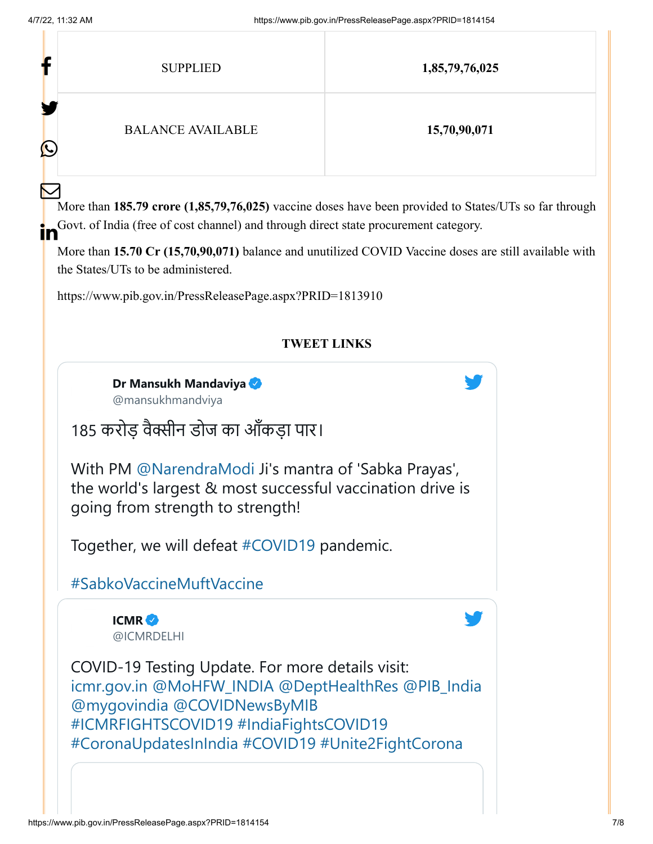| f                      | <b>SUPPLIED</b>          | 1,85,79,76,025 |
|------------------------|--------------------------|----------------|
| Y<br>$\mathbf{\Omega}$ | <b>BALANCE AVAILABLE</b> | 15,70,90,071   |
| $\color{red}\sum$      |                          |                |

More than **185.79 crore (1,85,79,76,025)** vaccine doses have been provided to States/UTs so far through Govt. of India (free of cost channel) and through direct state procurement category. in

More than **15.70 Cr (15,70,90,071)** balance and unutilized COVID Vaccine doses are still available with the States/UTs to be administered.

<https://www.pib.gov.in/PressReleasePage.aspx?PRID=1813910>

### **TWEET LINKS**

**[Dr Mansukh Mandaviya](https://twitter.com/mansukhmandviya?ref_src=twsrc%5Etfw%7Ctwcamp%5Etweetembed%7Ctwterm%5E1511605341125242883%7Ctwgr%5E%7Ctwcon%5Es1_&ref_url=https%3A%2F%2Fwww.pib.gov.in%2FPressReleasePage.aspx%3FPRID%3D1814154)** @mansukhmandviya

185 करोड़ वैक्सीन डोज का आँकड़ा पार।

With PM [@NarendraModi](https://twitter.com/narendramodi?ref_src=twsrc%5Etfw%7Ctwcamp%5Etweetembed%7Ctwterm%5E1511605341125242883%7Ctwgr%5E%7Ctwcon%5Es1_&ref_url=https%3A%2F%2Fwww.pib.gov.in%2FPressReleasePage.aspx%3FPRID%3D1814154) Ji's mantra of 'Sabka Prayas', the world's largest & most successful vaccination drive is going from strength to strength!

Together, we will defeat [#COVID19](https://twitter.com/hashtag/COVID19?ref_src=twsrc%5Etfw%7Ctwcamp%5Etweetembed%7Ctwterm%5E1511605341125242883%7Ctwgr%5E%7Ctwcon%5Es1_&ref_url=https%3A%2F%2Fwww.pib.gov.in%2FPressReleasePage.aspx%3FPRID%3D1814154&src=hashtag_click) pandemic.

## [#SabkoVaccineMuftVaccine](https://twitter.com/hashtag/SabkoVaccineMuftVaccine?ref_src=twsrc%5Etfw%7Ctwcamp%5Etweetembed%7Ctwterm%5E1511605341125242883%7Ctwgr%5E%7Ctwcon%5Es1_&ref_url=https%3A%2F%2Fwww.pib.gov.in%2FPressReleasePage.aspx%3FPRID%3D1814154&src=hashtag_click)

**ICMR** [@ICMRDELHI](https://twitter.com/ICMRDELHI?ref_src=twsrc%5Etfw%7Ctwcamp%5Etweetembed%7Ctwterm%5E1511551932443226112%7Ctwgr%5E%7Ctwcon%5Es1_&ref_url=https%3A%2F%2Fwww.pib.gov.in%2FPressReleasePage.aspx%3FPRID%3D1814154)

COVID-19 Testing Update. For more details visit: [icmr.gov.in](https://t.co/dI1pqvXAsZ) [@MoHFW\\_INDIA](https://twitter.com/MoHFW_INDIA?ref_src=twsrc%5Etfw%7Ctwcamp%5Etweetembed%7Ctwterm%5E1511551932443226112%7Ctwgr%5E%7Ctwcon%5Es1_&ref_url=https%3A%2F%2Fwww.pib.gov.in%2FPressReleasePage.aspx%3FPRID%3D1814154) [@DeptHealthRes](https://twitter.com/DeptHealthRes?ref_src=twsrc%5Etfw%7Ctwcamp%5Etweetembed%7Ctwterm%5E1511551932443226112%7Ctwgr%5E%7Ctwcon%5Es1_&ref_url=https%3A%2F%2Fwww.pib.gov.in%2FPressReleasePage.aspx%3FPRID%3D1814154) [@PIB\\_India](https://twitter.com/PIB_India?ref_src=twsrc%5Etfw%7Ctwcamp%5Etweetembed%7Ctwterm%5E1511551932443226112%7Ctwgr%5E%7Ctwcon%5Es1_&ref_url=https%3A%2F%2Fwww.pib.gov.in%2FPressReleasePage.aspx%3FPRID%3D1814154) [@mygovindia](https://twitter.com/mygovindia?ref_src=twsrc%5Etfw%7Ctwcamp%5Etweetembed%7Ctwterm%5E1511551932443226112%7Ctwgr%5E%7Ctwcon%5Es1_&ref_url=https%3A%2F%2Fwww.pib.gov.in%2FPressReleasePage.aspx%3FPRID%3D1814154) [@COVIDNewsByMIB](https://twitter.com/COVIDNewsByMIB?ref_src=twsrc%5Etfw%7Ctwcamp%5Etweetembed%7Ctwterm%5E1511551932443226112%7Ctwgr%5E%7Ctwcon%5Es1_&ref_url=https%3A%2F%2Fwww.pib.gov.in%2FPressReleasePage.aspx%3FPRID%3D1814154) [#ICMRFIGHTSCOVID19](https://twitter.com/hashtag/ICMRFIGHTSCOVID19?ref_src=twsrc%5Etfw%7Ctwcamp%5Etweetembed%7Ctwterm%5E1511551932443226112%7Ctwgr%5E%7Ctwcon%5Es1_&ref_url=https%3A%2F%2Fwww.pib.gov.in%2FPressReleasePage.aspx%3FPRID%3D1814154&src=hashtag_click) [#IndiaFightsCOVID19](https://twitter.com/hashtag/IndiaFightsCOVID19?ref_src=twsrc%5Etfw%7Ctwcamp%5Etweetembed%7Ctwterm%5E1511551932443226112%7Ctwgr%5E%7Ctwcon%5Es1_&ref_url=https%3A%2F%2Fwww.pib.gov.in%2FPressReleasePage.aspx%3FPRID%3D1814154&src=hashtag_click) [#CoronaUpdatesInIndia](https://twitter.com/hashtag/CoronaUpdatesInIndia?ref_src=twsrc%5Etfw%7Ctwcamp%5Etweetembed%7Ctwterm%5E1511551932443226112%7Ctwgr%5E%7Ctwcon%5Es1_&ref_url=https%3A%2F%2Fwww.pib.gov.in%2FPressReleasePage.aspx%3FPRID%3D1814154&src=hashtag_click) [#COVID19](https://twitter.com/hashtag/COVID19?ref_src=twsrc%5Etfw%7Ctwcamp%5Etweetembed%7Ctwterm%5E1511551932443226112%7Ctwgr%5E%7Ctwcon%5Es1_&ref_url=https%3A%2F%2Fwww.pib.gov.in%2FPressReleasePage.aspx%3FPRID%3D1814154&src=hashtag_click) [#Unite2FightCorona](https://twitter.com/hashtag/Unite2FightCorona?ref_src=twsrc%5Etfw%7Ctwcamp%5Etweetembed%7Ctwterm%5E1511551932443226112%7Ctwgr%5E%7Ctwcon%5Es1_&ref_url=https%3A%2F%2Fwww.pib.gov.in%2FPressReleasePage.aspx%3FPRID%3D1814154&src=hashtag_click)